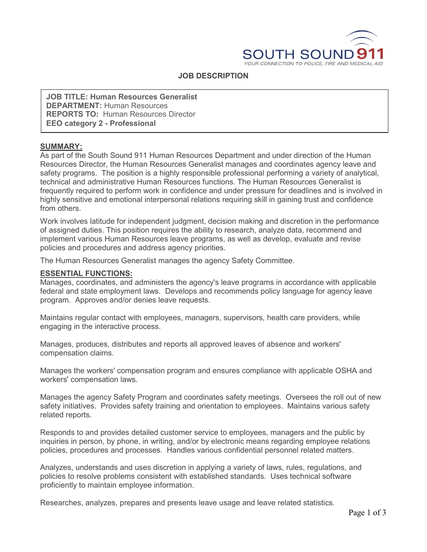

#### **JOB DESCRIPTION**

**JOB TITLE: Human Resources Generalist DEPARTMENT:** Human Resources **REPORTS TO:** Human Resources Director **EEO category 2 - Professional**

#### **SUMMARY:**

As part of the South Sound 911 Human Resources Department and under direction of the Human Resources Director, the Human Resources Generalist manages and coordinates agency leave and safety programs. The position is a highly responsible professional performing a variety of analytical, technical and administrative Human Resources functions. The Human Resources Generalist is frequently required to perform work in confidence and under pressure for deadlines and is involved in highly sensitive and emotional interpersonal relations requiring skill in gaining trust and confidence from others.

Work involves latitude for independent judgment, decision making and discretion in the performance of assigned duties. This position requires the ability to research, analyze data, recommend and implement various Human Resources leave programs, as well as develop, evaluate and revise policies and procedures and address agency priorities.

The Human Resources Generalist manages the agency Safety Committee.

#### **ESSENTIAL FUNCTIONS:**

Manages, coordinates, and administers the agency's leave programs in accordance with applicable federal and state employment laws. Develops and recommends policy language for agency leave program. Approves and/or denies leave requests.

Maintains regular contact with employees, managers, supervisors, health care providers, while engaging in the interactive process.

Manages, produces, distributes and reports all approved leaves of absence and workers' compensation claims.

Manages the workers' compensation program and ensures compliance with applicable OSHA and workers' compensation laws.

Manages the agency Safety Program and coordinates safety meetings. Oversees the roll out of new safety initiatives. Provides safety training and orientation to employees. Maintains various safety related reports.

Responds to and provides detailed customer service to employees, managers and the public by inquiries in person, by phone, in writing, and/or by electronic means regarding employee relations policies, procedures and processes. Handles various confidential personnel related matters.

Analyzes, understands and uses discretion in applying a variety of laws, rules, regulations, and policies to resolve problems consistent with established standards. Uses technical software proficiently to maintain employee information.

Researches, analyzes, prepares and presents leave usage and leave related statistics.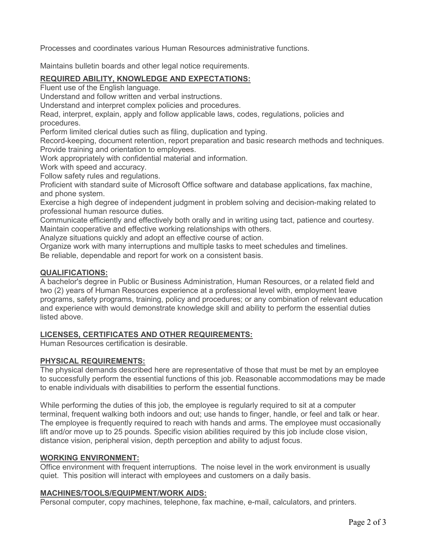Processes and coordinates various Human Resources administrative functions.

Maintains bulletin boards and other legal notice requirements.

# **REQUIRED ABILITY, KNOWLEDGE AND EXPECTATIONS:**

Fluent use of the English language.

Understand and follow written and verbal instructions.

Understand and interpret complex policies and procedures.

Read, interpret, explain, apply and follow applicable laws, codes, regulations, policies and procedures.

Perform limited clerical duties such as filing, duplication and typing.

Record-keeping, document retention, report preparation and basic research methods and techniques. Provide training and orientation to employees.

Work appropriately with confidential material and information.

Work with speed and accuracy.

Follow safety rules and regulations.

Proficient with standard suite of Microsoft Office software and database applications, fax machine, and phone system.

Exercise a high degree of independent judgment in problem solving and decision-making related to professional human resource duties.

Communicate efficiently and effectively both orally and in writing using tact, patience and courtesy. Maintain cooperative and effective working relationships with others.

Analyze situations quickly and adopt an effective course of action.

Organize work with many interruptions and multiple tasks to meet schedules and timelines. Be reliable, dependable and report for work on a consistent basis.

# **QUALIFICATIONS:**

A bachelor's degree in Public or Business Administration, Human Resources, or a related field and two (2) years of Human Resources experience at a professional level with, employment leave programs, safety programs, training, policy and procedures; or any combination of relevant education and experience with would demonstrate knowledge skill and ability to perform the essential duties listed above.

# **LICENSES, CERTIFICATES AND OTHER REQUIREMENTS:**

Human Resources certification is desirable.

# **PHYSICAL REQUIREMENTS:**

The physical demands described here are representative of those that must be met by an employee to successfully perform the essential functions of this job. Reasonable accommodations may be made to enable individuals with disabilities to perform the essential functions.

While performing the duties of this job, the employee is regularly required to sit at a computer terminal, frequent walking both indoors and out; use hands to finger, handle, or feel and talk or hear. The employee is frequently required to reach with hands and arms. The employee must occasionally lift and/or move up to 25 pounds. Specific vision abilities required by this job include close vision, distance vision, peripheral vision, depth perception and ability to adjust focus.

# **WORKING ENVIRONMENT:**

Office environment with frequent interruptions. The noise level in the work environment is usually quiet. This position will interact with employees and customers on a daily basis.

# **MACHINES/TOOLS/EQUIPMENT/WORK AIDS:**

Personal computer, copy machines, telephone, fax machine, e-mail, calculators, and printers.